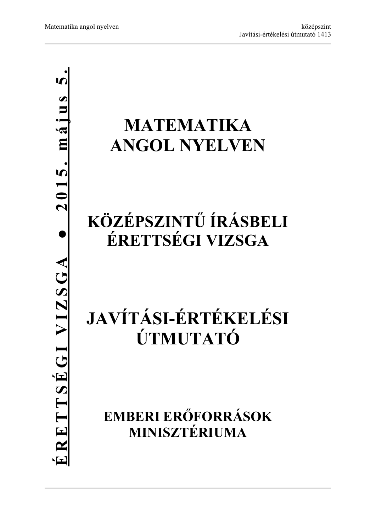## **MATEMATIKA ANGOL NYELVEN**

## **KÖZÉPSZINTŰ ÍRÁSBELI ÉRETTSÉGI VIZSGA**

# **JAVÍTÁSI-ÉRTÉKELÉSI ÚTMUTATÓ**

**EMBERI ERŐFORRÁSOK MINISZTÉRIUMA**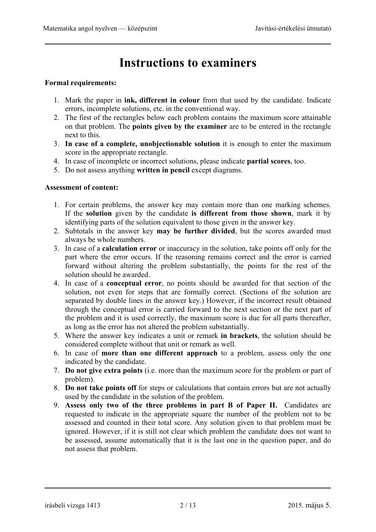## **Instructions to examiners**

#### **Formal requirements:**

- 1. Mark the paper in **ink, different in colour** from that used by the candidate. Indicate errors, incomplete solutions, etc. in the conventional way.
- 2. The first of the rectangles below each problem contains the maximum score attainable on that problem. The **points given by the examiner** are to be entered in the rectangle next to this.
- 3. **In case of a complete, unobjectionable solution** it is enough to enter the maximum score in the appropriate rectangle.
- 4. In case of incomplete or incorrect solutions, please indicate **partial scores**, too.
- 5. Do not assess anything **written in pencil** except diagrams.

#### **Assessment of content:**

- 1. For certain problems, the answer key may contain more than one marking schemes. If the **solution** given by the candidate **is different from those shown**, mark it by identifying parts of the solution equivalent to those given in the answer key.
- 2. Subtotals in the answer key **may be further divided**, but the scores awarded must always be whole numbers.
- 3. In case of a **calculation error** or inaccuracy in the solution, take points off only for the part where the error occurs. If the reasoning remains correct and the error is carried forward without altering the problem substantially, the points for the rest of the solution should be awarded.
- 4. In case of a **conceptual error**, no points should be awarded for that section of the solution, not even for steps that are formally correct. (Sections of the solution are separated by double lines in the answer key.) However, if the incorrect result obtained through the conceptual error is carried forward to the next section or the next part of the problem and it is used correctly, the maximum score is due for all parts thereafter, as long as the error has not altered the problem substantially.
- 5. Where the answer key indicates a unit or remark **in brackets**, the solution should be considered complete without that unit or remark as well.
- 6. In case of **more than one different approach** to a problem, assess only the one indicated by the candidate.
- 7. **Do not give extra points** (i.e. more than the maximum score for the problem or part of problem).
- 8. **Do not take points off** for steps or calculations that contain errors but are not actually used by the candidate in the solution of the problem.
- 9. **Assess only two of the three problems in part B of Paper II.** Candidates are requested to indicate in the appropriate square the number of the problem not to be assessed and counted in their total score. Any solution given to that problem must be ignored. However, if it is still not clear which problem the candidate does not want to be assessed, assume automatically that it is the last one in the question paper, and do not assess that problem.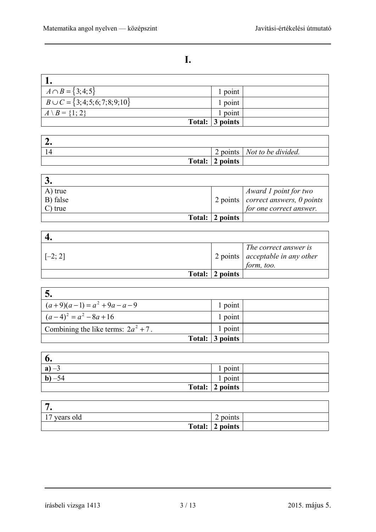### **I.**

| $A \cap B = \{3; 4; 5\}$                 | 1 point                         |  |
|------------------------------------------|---------------------------------|--|
| $B \cup C = \{3, 4, 5, 6, 7, 8, 9, 10\}$ | 1 point                         |  |
| $A \setminus B = \{1; 2\}$               | 1 point                         |  |
|                                          | Total: $\vert 3 \rangle$ points |  |

| $\overline{\phantom{a}}$ |                 |                                      |
|--------------------------|-----------------|--------------------------------------|
|                          |                 | 2 points   <i>Not to be divided.</i> |
|                          | Total: 2 points |                                      |

| A) true    |                         | $\mu$ Award 1 point for two                        |
|------------|-------------------------|----------------------------------------------------|
| B) false   |                         | $\vert$ 2 points $\vert$ correct answers, 0 points |
| $C$ ) true |                         | for one correct answer.                            |
|            | Total: $\vert$ 2 points |                                                    |

| $[-2; 2]$ |                 | The correct answer is<br>$\vert$ 2 points $\vert$ acceptable in any other<br>form, too. |
|-----------|-----------------|-----------------------------------------------------------------------------------------|
|           | Total: 2 points |                                                                                         |

| $\mathbf{D}_{\bullet}$                 |                 |  |
|----------------------------------------|-----------------|--|
| $(a+9)(a-1) = a2 + 9a - a - 9$         | 1 point         |  |
| $(a-4)^2 = a^2 - 8a + 16$              | 1 point         |  |
| Combining the like terms: $2a^2 + 7$ . | 1 point         |  |
|                                        | Total: 3 points |  |

| v.                            |                 |  |
|-------------------------------|-----------------|--|
| a<br>$\overline{\phantom{m}}$ | point           |  |
| $\mathbf{D}$<br>-24           | point           |  |
|                               | Total: 2 points |  |

| -                                 |                 |
|-----------------------------------|-----------------|
| 17<br>' years old<br>$\mathbf{r}$ | 2 points        |
|                                   | Total: 2 points |

írásbeli vizsga 1413 3 / 13 2015. május 5.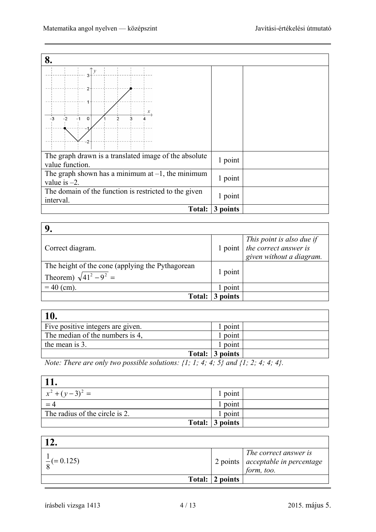| 8.                                                                       |          |  |
|--------------------------------------------------------------------------|----------|--|
| $-2$<br>$\Omega$                                                         |          |  |
| The graph drawn is a translated image of the absolute<br>value function. | 1 point  |  |
| The graph shown has a minimum at $-1$ , the minimum<br>value is $-2$ .   | 1 point  |  |
| The domain of the function is restricted to the given<br>interval.       | 1 point  |  |
| Total:                                                                   | 3 points |  |

| Correct diagram.                                                                   |         | $\begin{array}{c c} \hline \text{This point is also due if} \\ \text{1 point} & \text{the correct answer is} \end{array}$<br>given without a diagram. |
|------------------------------------------------------------------------------------|---------|-------------------------------------------------------------------------------------------------------------------------------------------------------|
| The height of the cone (applying the Pythagorean<br>Theorem) $\sqrt{41^2 - 9^2} =$ | l point |                                                                                                                                                       |
| $= 40$ (cm).                                                                       | point   |                                                                                                                                                       |
| <b>Total:</b>                                                                      | points  |                                                                                                                                                       |

| <b>10.</b>                                 |                 |
|--------------------------------------------|-----------------|
| Five positive integers are given.          | point           |
| The median of the numbers is 4,            | point           |
| the mean is 3.                             | point           |
|                                            | Total: 3 points |
| $-1$ $1$ $-1$ $-1$<br>$-1$<br>$\mathbf{v}$ |                 |

*Note: There are only two possible solutions: {1; 1; 4; 4; 5} and {1; 2; 4; 4; 4}.* 

| 11.                            |                 |
|--------------------------------|-----------------|
| $x^2 + (y-3)^2 =$              | l point         |
|                                | point           |
| The radius of the circle is 2. | point           |
|                                | Total: 3 points |
|                                |                 |

| $\frac{1}{6}$ (= 0.125) |                         | The correct answer is<br>$\frac{1}{2}$ points $\left  \begin{array}{c} \text{c} \\ \text{acceptable in percentage} \\ \text{form, too.} \end{array} \right $ |
|-------------------------|-------------------------|--------------------------------------------------------------------------------------------------------------------------------------------------------------|
|                         | Total: $\vert$ 2 points |                                                                                                                                                              |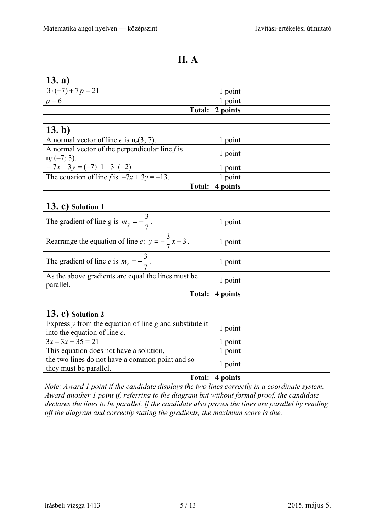### **II. A**

| $\vert$ 13. a)           |                         |  |
|--------------------------|-------------------------|--|
| $3 \cdot (-7) + 7p = 21$ | 1 point                 |  |
| $p=6$                    | 1 point                 |  |
|                          | Total: $\vert 2$ points |  |

| (13.b)                                                                      |          |  |
|-----------------------------------------------------------------------------|----------|--|
| A normal vector of line <i>e</i> is $n_e(3; 7)$ .                           | 1 point  |  |
| A normal vector of the perpendicular line $f$ is<br>$\mathbf{n}_f$ (-7; 3). | 1 point  |  |
| $-7x+3y = (-7) \cdot 1 + 3 \cdot (-2)$                                      | 1 point  |  |
| The equation of line f is $-7x + 3y = -13$ .                                | point    |  |
| Total:                                                                      | 4 points |  |

| $(13, c)$ Solution 1                                            |          |  |
|-----------------------------------------------------------------|----------|--|
| The gradient of line g is $m_g = -\frac{3}{7}$ .                | 1 point  |  |
| Rearrange the equation of line e: $y = -\frac{3}{7}x + 3$ .     | 1 point  |  |
| The gradient of line <i>e</i> is $m_e = -\frac{3}{7}$ .         | 1 point  |  |
| As the above gradients are equal the lines must be<br>parallel. | 1 point  |  |
| <b>Total:</b>                                                   | 4 points |  |

| $(13, c)$ Solution 2                                                                        |          |  |
|---------------------------------------------------------------------------------------------|----------|--|
| Express $y$ from the equation of line $g$ and substitute it<br>into the equation of line e. | 1 point  |  |
| $3x-3x+35=21$                                                                               | point    |  |
| This equation does not have a solution,                                                     | 1 point  |  |
| the two lines do not have a common point and so<br>they must be parallel.                   | 1 point  |  |
| Total:                                                                                      | 4 points |  |

*Note: Award 1 point if the candidate displays the two lines correctly in a coordinate system. Award another 1 point if, referring to the diagram but without formal proof, the candidate declares the lines to be parallel. If the candidate also proves the lines are parallel by reading off the diagram and correctly stating the gradients, the maximum score is due.*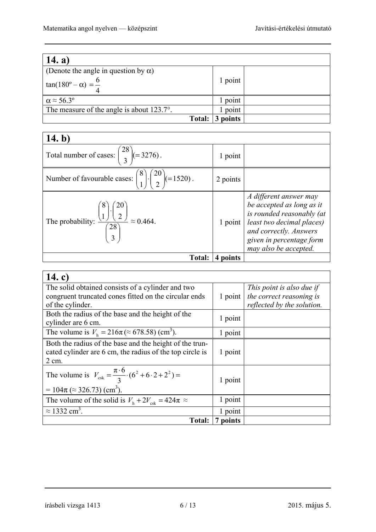| 14. a)                                              |          |  |
|-----------------------------------------------------|----------|--|
| (Denote the angle in question by $\alpha$ )         |          |  |
| $tan(180^\circ - \alpha) = \frac{6}{4}$             | 1 point  |  |
| $\alpha \approx 56.3^{\circ}$                       | point    |  |
| The measure of the angle is about $123.7^{\circ}$ . | point    |  |
| Total:                                              | 3 points |  |

| 14. $b$                                                                                 |          |                                                                                                                                                                                              |
|-----------------------------------------------------------------------------------------|----------|----------------------------------------------------------------------------------------------------------------------------------------------------------------------------------------------|
| Total number of cases: $\binom{28}{3}$ (= 3276).                                        | 1 point  |                                                                                                                                                                                              |
| Number of favourable cases: $\binom{8}{1} \cdot \binom{20}{2} (=1520)$ .                | 2 points |                                                                                                                                                                                              |
| The probability: $\frac{\binom{3}{1} \cdot \binom{7}{2}}{\binom{28}{3}} \approx 0.464.$ | 1 point  | A different answer may<br>be accepted as long as it<br>is rounded reasonably (at<br>least two decimal places)<br>and correctly. Answers<br>given in percentage form<br>may also be accepted. |
| Total:                                                                                  | 4 points |                                                                                                                                                                                              |

| 14. c)                                                                                 |          |                            |
|----------------------------------------------------------------------------------------|----------|----------------------------|
| The solid obtained consists of a cylinder and two                                      |          | This point is also due if  |
| congruent truncated cones fitted on the circular ends                                  | 1 point  | the correct reasoning is   |
| of the cylinder.                                                                       |          | reflected by the solution. |
| Both the radius of the base and the height of the                                      | 1 point  |                            |
| cylinder are 6 cm.                                                                     |          |                            |
| The volume is $V_h = 216\pi \approx 678.58$ (cm <sup>3</sup> ).                        | 1 point  |                            |
| Both the radius of the base and the height of the trun-                                |          |                            |
| cated cylinder are 6 cm, the radius of the top circle is                               | 1 point  |                            |
| $2 \text{ cm}$ .                                                                       |          |                            |
| The volume is $V_{\text{csk}} = \frac{\pi \cdot 6}{3} \cdot (6^2 + 6 \cdot 2 + 2^2) =$ |          |                            |
|                                                                                        | 1 point  |                            |
| $= 104\pi \approx 326.73$ (cm <sup>3</sup> ).                                          |          |                            |
| The volume of the solid is $V_{\text{h}} + 2V_{\text{csk}} = 424\pi \approx$           | 1 point  |                            |
| $\approx$ 1332 cm <sup>3</sup> .                                                       | 1 point  |                            |
| <b>Total:</b>                                                                          | 7 points |                            |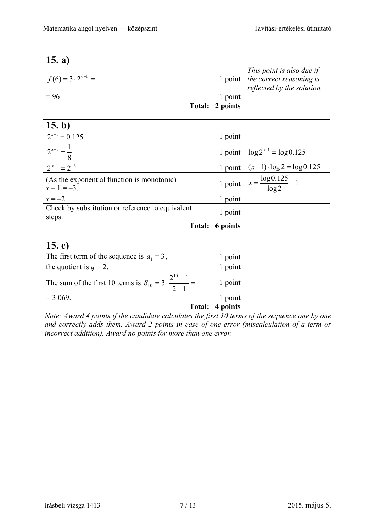| 15. a)                     |                         |                                                                                                                                                            |
|----------------------------|-------------------------|------------------------------------------------------------------------------------------------------------------------------------------------------------|
| $f(6) = 3 \cdot 2^{6-1} =$ |                         | $\begin{array}{c c} \hline \text{This point is also due if} \\ \text{1 point} & \text{the correct reasoning is} \end{array}$<br>reflected by the solution. |
| $= 96$                     | point                   |                                                                                                                                                            |
|                            | Total: $\vert 2$ points |                                                                                                                                                            |

| 15. b)                                                     |           |                                           |
|------------------------------------------------------------|-----------|-------------------------------------------|
| $2^{x-1} = 0.125$                                          | 1 point   |                                           |
| $2^{x-1} = \frac{1}{x-1}$                                  |           | 1 point $\log 2^{x-1} = \log 0.125$       |
| $2^{x-1} = 2^{-3}$                                         |           | 1 point $(x-1) \cdot \log 2 = \log 0.125$ |
| (As the exponential function is monotonic)<br>$x-1=-3$ .   | $1$ point | $x = \frac{\log 0.125}{\log 2} + 1$       |
| $x = -2$                                                   | 1 point   |                                           |
| Check by substitution or reference to equivalent<br>steps. | 1 point   |                                           |
| <b>Total:</b>                                              | 6 points  |                                           |

| 15. c)                                                                         |         |  |
|--------------------------------------------------------------------------------|---------|--|
| The first term of the sequence is $a_1 = 3$ ,                                  | 1 point |  |
| the quotient is $q = 2$ .                                                      | point   |  |
| The sum of the first 10 terms is $S_{10} = 3 \cdot \frac{2^{10} - 1}{2 - 1} =$ | l point |  |
| $= 3069.$                                                                      | point   |  |
| <b>Total:</b>                                                                  | points  |  |

*Note: Award 4 points if the candidate calculates the first 10 terms of the sequence one by one and correctly adds them. Award 2 points in case of one error (miscalculation of a term or incorrect addition). Award no points for more than one error.*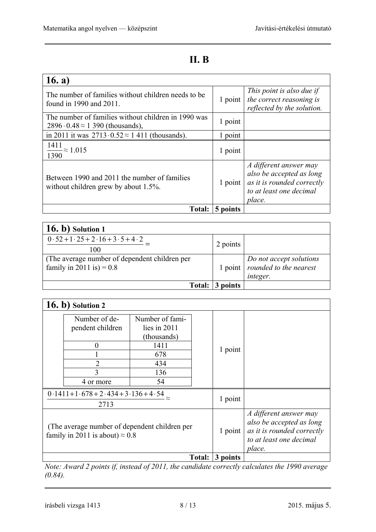### **II. B**

| 16. a)                                                                                             |          |                                                                                                                       |
|----------------------------------------------------------------------------------------------------|----------|-----------------------------------------------------------------------------------------------------------------------|
| The number of families without children needs to be.<br>found in 1990 and 2011.                    | 1 point  | This point is also due if<br>the correct reasoning is<br>reflected by the solution.                                   |
| The number of families without children in 1990 was<br>$2896 \cdot 0.48 \approx 1390$ (thousands), | 1 point  |                                                                                                                       |
| in 2011 it was $2713 \cdot 0.52 \approx 1411$ (thousands).                                         | 1 point  |                                                                                                                       |
| $\frac{1411}{2} \approx 1.015$<br>1390                                                             | 1 point  |                                                                                                                       |
| Between 1990 and 2011 the number of families<br>without children grew by about $1.5\%$ .           | 1 point  | A different answer may<br>also be accepted as long<br>as it is rounded correctly<br>to at least one decimal<br>place. |
| <b>Total:</b>                                                                                      | 5 points |                                                                                                                       |

| $(16. b)$ Solution 1                                                        |          |                                                                         |
|-----------------------------------------------------------------------------|----------|-------------------------------------------------------------------------|
| $0.52 + 1.25 + 2.16 + 3.5 + 4.2$<br>100                                     | 2 points |                                                                         |
| (The average number of dependent children per<br>family in 2011 is) = $0.8$ |          | Do not accept solutions<br>1 point   rounded to the nearest<br>integer. |
| <b>Total:</b>                                                               | 3 points |                                                                         |

|                                                            | $16. b)$ Solution 2                                                                     |                                                                                     |          |                                                                                                                       |
|------------------------------------------------------------|-----------------------------------------------------------------------------------------|-------------------------------------------------------------------------------------|----------|-----------------------------------------------------------------------------------------------------------------------|
|                                                            | Number of de-<br>pendent children<br>0<br>$\overline{2}$<br>3<br>4 or more              | Number of fami-<br>lies in $2011$<br>(thousands)<br>1411<br>678<br>434<br>136<br>54 | 1 point  |                                                                                                                       |
| $\overline{0.1411+1.678+2.434+3.136+4.54} \approx$<br>2713 |                                                                                         |                                                                                     | 1 point  |                                                                                                                       |
|                                                            | (The average number of dependent children per<br>family in 2011 is about) $\approx 0.8$ |                                                                                     | 1 point  | A different answer may<br>also be accepted as long<br>as it is rounded correctly<br>to at least one decimal<br>place. |
|                                                            |                                                                                         | Total:                                                                              | 3 points |                                                                                                                       |

*Note: Award 2 points if, instead of 2011, the candidate correctly calculates the 1990 average (0.84).*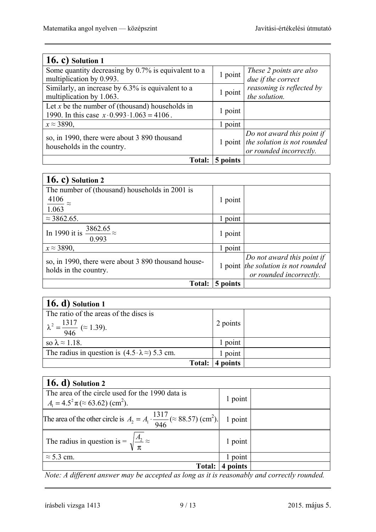| 16. c) Solution $1$                                                                                        |          |                                                                                                  |
|------------------------------------------------------------------------------------------------------------|----------|--------------------------------------------------------------------------------------------------|
| Some quantity decreasing by $0.7\%$ is equivalent to a<br>multiplication by 0.993.                         | 1 point  | These 2 points are also<br>due if the correct                                                    |
| Similarly, an increase by 6.3% is equivalent to a<br>multiplication by 1.063.                              | 1 point  | reasoning is reflected by<br>the solution.                                                       |
| Let x be the number of (thousand) households in<br>1990. In this case $x \cdot 0.993 \cdot 1.063 = 4106$ . | 1 point  |                                                                                                  |
| $x \approx 3890$ ,                                                                                         | 1 point  |                                                                                                  |
| so, in 1990, there were about 3 890 thousand<br>households in the country.                                 |          | Do not award this point if<br>1 point $ $ the solution is not rounded<br>or rounded incorrectly. |
| Total:                                                                                                     | 5 points |                                                                                                  |

| 16. c) Solution $2$                                                          |          |                                                                                              |
|------------------------------------------------------------------------------|----------|----------------------------------------------------------------------------------------------|
| The number of (thousand) households in 2001 is                               |          |                                                                                              |
| 4106<br>$\approx$                                                            | 1 point  |                                                                                              |
| 1.063                                                                        |          |                                                                                              |
| $\approx$ 3862.65.                                                           | point    |                                                                                              |
| 3862.65<br>In 1990 it is<br>0.993                                            | 1 point  |                                                                                              |
| $x \approx 3890$ ,                                                           | 1 point  |                                                                                              |
| so, in 1990, there were about 3 890 thousand house-<br>holds in the country. |          | Do not award this point if<br>1 point the solution is not rounded<br>or rounded incorrectly. |
| <b>Total:</b>                                                                | 5 points |                                                                                              |

| $(16. d)$ Solution 1                                            |               |          |  |
|-----------------------------------------------------------------|---------------|----------|--|
| The ratio of the areas of the discs is                          |               |          |  |
| $\lambda^2 = \frac{1317}{946}$ ( $\approx$ 1.39).               |               | 2 points |  |
| so $\lambda \approx 1.18$ .                                     |               | point    |  |
| The radius in question is $(4.5 \cdot \lambda \approx) 5.3$ cm. |               | point    |  |
|                                                                 | <b>Total:</b> | points   |  |

| 16. d) Solution 2                                                                                                  |         |  |
|--------------------------------------------------------------------------------------------------------------------|---------|--|
| The area of the circle used for the 1990 data is<br>$A_1 = 4.5^2 \pi \approx (63.62) \text{ (cm}^2).$              | 1 point |  |
| The area of the other circle is $A_2 = A_1 \cdot \frac{1317}{946}$ ( $\approx 88.57$ ) (cm <sup>2</sup> ). 1 point |         |  |
| The radius in question is = $\sqrt{\frac{A_2}{\pi}} \approx$                                                       | 1 point |  |
| $\approx$ 5.3 cm.                                                                                                  | 1 point |  |
| <b>Total:</b>                                                                                                      | points  |  |

*Note: A different answer may be accepted as long as it is reasonably and correctly rounded.*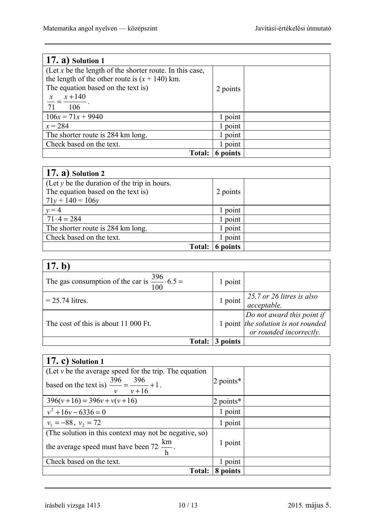| $(17. a)$ Solution 1                                     |          |  |
|----------------------------------------------------------|----------|--|
| (Let x be the length of the shorter route. In this case, |          |  |
| the length of the other route is $(x + 140)$ km.         |          |  |
| The equation based on the text is)                       | 2 points |  |
| $x + 140$<br>$\frac{x}{1}$                               |          |  |
| 71<br>106                                                |          |  |
| $106x = 71x + 9940$                                      | 1 point  |  |
| $x = 284$                                                | 1 point  |  |
| The shorter route is 284 km long.                        | 1 point  |  |
| Check based on the text.                                 | 1 point  |  |
| <b>Total:</b>                                            | 6 points |  |

| $(17. a)$ Solution 2                           |          |  |
|------------------------------------------------|----------|--|
| (Let $y$ be the duration of the trip in hours. |          |  |
| The equation based on the text is)             | 2 points |  |
| $71y + 140 = 106y$                             |          |  |
| $v = 4$                                        | point    |  |
| $71 \cdot 4 = 284$                             | 1 point  |  |
| The shorter route is 284 km long.              | point    |  |
| Check based on the text.                       | point    |  |
| <b>Total:</b>                                  | points   |  |

| 17. b)                                                          |          |                                                                                                |
|-----------------------------------------------------------------|----------|------------------------------------------------------------------------------------------------|
| The gas consumption of the car is $\frac{396}{100} \cdot 6.5 =$ | 1 point  |                                                                                                |
| $= 25.74$ litres.                                               | 1 point  | 25.7 or 26 litres is also<br>acceptable.                                                       |
| The cost of this is about 11 000 Ft.                            |          | Do not award this point if<br>1 point $the$ solution is not rounded<br>or rounded incorrectly. |
| <b>Total:</b>                                                   | 3 points |                                                                                                |

| $(17, c)$ Solution 1                                                                     |              |  |
|------------------------------------------------------------------------------------------|--------------|--|
| (Let $\nu$ be the average speed for the trip. The equation                               |              |  |
| based on the text is) $\frac{396}{ } = \frac{396}{ } + 1$ .<br>$v + 16$<br>$\mathcal{V}$ | 2 points $*$ |  |
| $396(v+16) = 396v + v(v+16)$                                                             | 2 points $*$ |  |
| $v^2 + 16v - 6336 = 0$                                                                   | 1 point      |  |
| $v_1 = -88$ , $v_2 = 72$                                                                 | 1 point      |  |
| (The solution in this context may not be negative, so)                                   |              |  |
| the average speed must have been 72 $\frac{\text{km}}{\text{h}}$ .                       | 1 point      |  |
| Check based on the text.                                                                 | point        |  |
| Total:                                                                                   | 8 points     |  |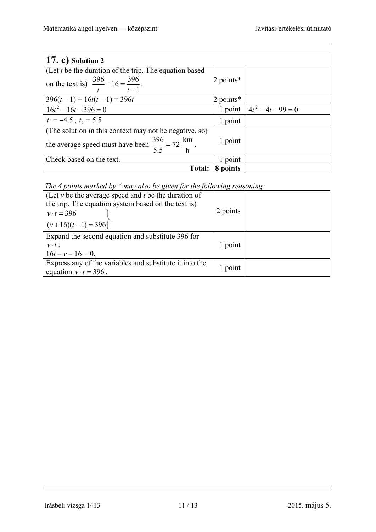| $(17, c)$ Solution 2                                                                                                 |              |                              |
|----------------------------------------------------------------------------------------------------------------------|--------------|------------------------------|
| (Let $t$ be the duration of the trip. The equation based<br>on the text is) $\frac{396}{t} + 16 = \frac{396}{t-1}$ . | $2$ points*  |                              |
| $\frac{396(t-1) + 16t(t-1)}{396t}$                                                                                   | 2 points $*$ |                              |
| $16t^2 - 16t - 396 = 0$                                                                                              |              | 1 point $4t^2 - 4t - 99 = 0$ |
| $t_1 = -4.5$ , $t_2 = 5.5$                                                                                           | 1 point      |                              |
| (The solution in this context may not be negative, so)                                                               |              |                              |
| the average speed must have been $\frac{396}{5.5} = 72 \frac{\text{km}}{\text{h}}$ .                                 | 1 point      |                              |
| Check based on the text.                                                                                             | 1 point      |                              |
| <b>Total:</b>                                                                                                        | 8 points     |                              |

*The 4 points marked by \* may also be given for the following reasoning:* 

| (Let $v$ be the average speed and $t$ be the duration of<br>the trip. The equation system based on the text is)<br>$v \cdot t = 396$<br>$(v+16)(t-1) = 396$ | 2 points |  |
|-------------------------------------------------------------------------------------------------------------------------------------------------------------|----------|--|
| Expand the second equation and substitute 396 for<br>$v \cdot t$ :<br>$16t - v - 16 = 0$ .                                                                  | 1 point  |  |
| Express any of the variables and substitute it into the<br>equation $v \cdot t = 396$ .                                                                     | 1 point  |  |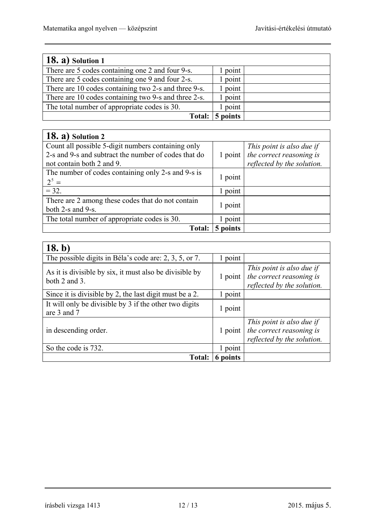٦

| $18. a)$ Solution 1                                  |          |  |
|------------------------------------------------------|----------|--|
| There are 5 codes containing one 2 and four 9-s.     | point    |  |
| There are 5 codes containing one 9 and four 2-s.     | l point  |  |
| There are 10 codes containing two 2-s and three 9-s. | point    |  |
| There are 10 codes containing two 9-s and three 2-s. | point    |  |
| The total number of appropriate codes is 30.         | point    |  |
| Total:                                               | 5 points |  |

| $18. a)$ Solution 2                                  |          |                            |
|------------------------------------------------------|----------|----------------------------|
| Count all possible 5-digit numbers containing only   |          | This point is also due if  |
| 2-s and 9-s and subtract the number of codes that do | 1 point  | the correct reasoning is   |
| not contain both 2 and 9.                            |          | reflected by the solution. |
| The number of codes containing only 2-s and 9-s is   | 1 point  |                            |
| $2^5 =$                                              |          |                            |
| $= 32.$                                              | point    |                            |
| There are 2 among these codes that do not contain    | 1 point  |                            |
| both 2-s and 9-s.                                    |          |                            |
| The total number of appropriate codes is 30.         | point    |                            |
| <b>Total:</b>                                        | 5 points |                            |

| 18. b)                                                                   |          |                                                                                     |
|--------------------------------------------------------------------------|----------|-------------------------------------------------------------------------------------|
| The possible digits in Béla's code are: 2, 3, 5, or 7.                   | point    |                                                                                     |
| As it is divisible by six, it must also be divisible by<br>both 2 and 3. | 1 point  | This point is also due if<br>the correct reasoning is<br>reflected by the solution. |
| Since it is divisible by 2, the last digit must be a 2.                  | point    |                                                                                     |
| It will only be divisible by 3 if the other two digits<br>are 3 and 7    | 1 point  |                                                                                     |
| in descending order.                                                     | 1 point  | This point is also due if<br>the correct reasoning is<br>reflected by the solution. |
| So the code is 732.                                                      | 1 point  |                                                                                     |
| Total:                                                                   | 6 points |                                                                                     |